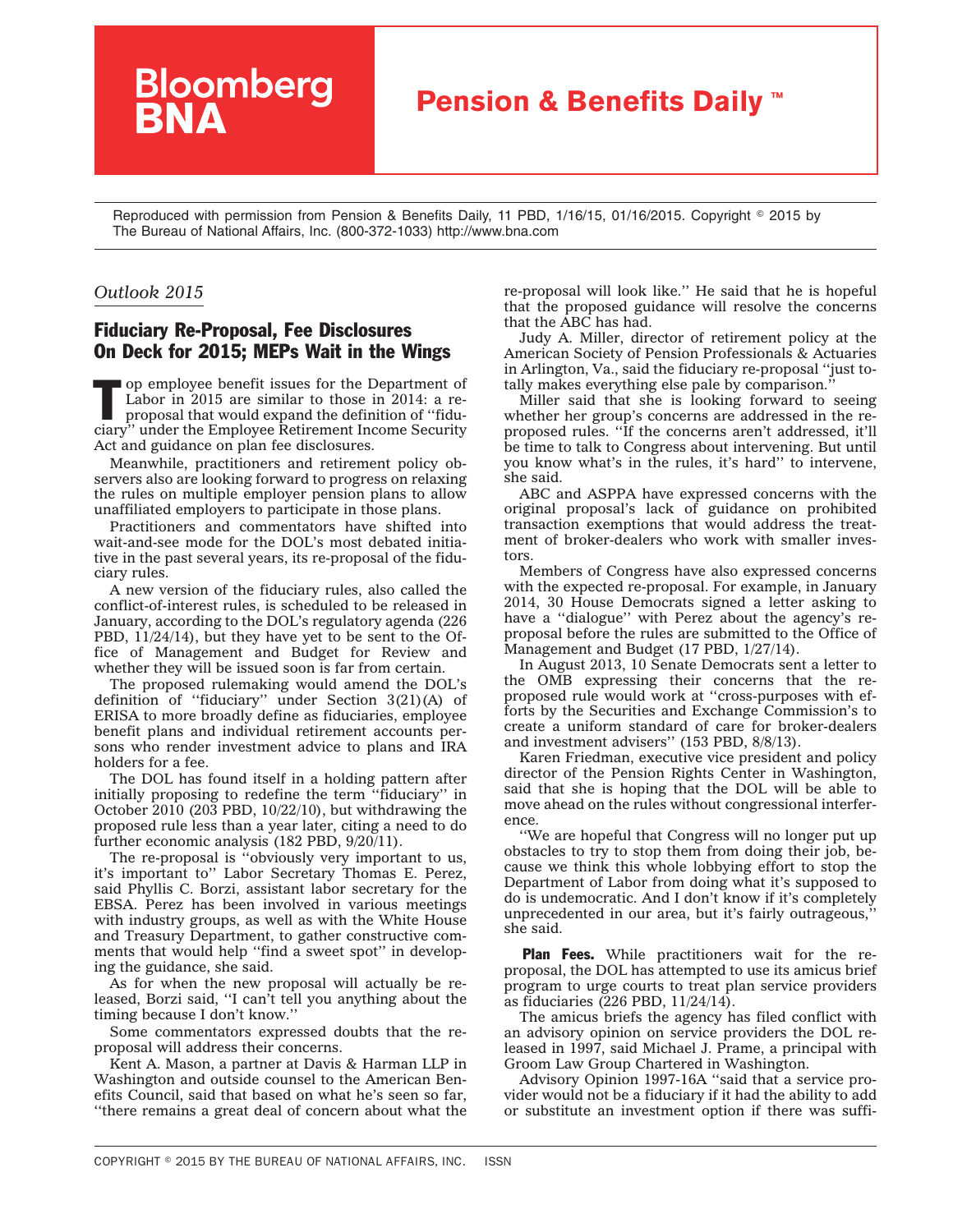## **Pension & Benefits Daily™**

Reproduced with permission from Pension & Benefits Daily, 11 PBD, 1/16/15, 01/16/2015. Copyright © 2015 by The Bureau of National Affairs, Inc. (800-372-1033) http://www.bna.com

## *Outlook 2015*

## Fiduciary Re-Proposal, Fee Disclosures On Deck for 2015; MEPs Wait in the Wings

**Bloomberg**<br>**BNA** 

The operation of the Department of Labor in 2015 are similar to those in 2014: a reproposal that would expand the definition of "fidu-<br>giant" under the Employee Definement Income Security Labor in 2015 are similar to those in 2014: a reciary'' under the Employee Retirement Income Security Act and guidance on plan fee disclosures.

Meanwhile, practitioners and retirement policy observers also are looking forward to progress on relaxing the rules on multiple employer pension plans to allow unaffiliated employers to participate in those plans.

Practitioners and commentators have shifted into wait-and-see mode for the DOL's most debated initiative in the past several years, its re-proposal of the fiduciary rules.

A new version of the fiduciary rules, also called the conflict-of-interest rules, is scheduled to be released in January, according to the DOL's regulatory agenda (226 PBD, 11/24/14), but they have yet to be sent to the Office of Management and Budget for Review and whether they will be issued soon is far from certain.

The proposed rulemaking would amend the DOL's definition of ''fiduciary'' under Section 3(21)(A) of ERISA to more broadly define as fiduciaries, employee benefit plans and individual retirement accounts persons who render investment advice to plans and IRA holders for a fee.

The DOL has found itself in a holding pattern after initially proposing to redefine the term ''fiduciary'' in October 2010 (203 PBD, 10/22/10), but withdrawing the proposed rule less than a year later, citing a need to do further economic analysis (182 PBD, 9/20/11).

The re-proposal is ''obviously very important to us, it's important to'' Labor Secretary Thomas E. Perez, said Phyllis C. Borzi, assistant labor secretary for the EBSA. Perez has been involved in various meetings with industry groups, as well as with the White House and Treasury Department, to gather constructive comments that would help "find a sweet spot" in developing the guidance, she said.

As for when the new proposal will actually be released, Borzi said, ''I can't tell you anything about the timing because I don't know.''

Some commentators expressed doubts that the reproposal will address their concerns.

Kent A. Mason, a partner at Davis & Harman LLP in Washington and outside counsel to the American Benefits Council, said that based on what he's seen so far, ''there remains a great deal of concern about what the re-proposal will look like.'' He said that he is hopeful that the proposed guidance will resolve the concerns that the ABC has had.

Judy A. Miller, director of retirement policy at the American Society of Pension Professionals & Actuaries in Arlington, Va., said the fiduciary re-proposal ''just totally makes everything else pale by comparison.

Miller said that she is looking forward to seeing whether her group's concerns are addressed in the reproposed rules. ''If the concerns aren't addressed, it'll be time to talk to Congress about intervening. But until you know what's in the rules, it's hard'' to intervene, she said.

ABC and ASPPA have expressed concerns with the original proposal's lack of guidance on prohibited transaction exemptions that would address the treatment of broker-dealers who work with smaller investors.

Members of Congress have also expressed concerns with the expected re-proposal. For example, in January 2014, 30 House Democrats signed a letter asking to have a ''dialogue'' with Perez about the agency's reproposal before the rules are submitted to the Office of Management and Budget (17 PBD, 1/27/14).

In August 2013, 10 Senate Democrats sent a letter to the OMB expressing their concerns that the reproposed rule would work at ''cross-purposes with efforts by the Securities and Exchange Commission's to create a uniform standard of care for broker-dealers and investment advisers'' (153 PBD, 8/8/13).

Karen Friedman, executive vice president and policy director of the Pension Rights Center in Washington, said that she is hoping that the DOL will be able to move ahead on the rules without congressional interference.

''We are hopeful that Congress will no longer put up obstacles to try to stop them from doing their job, because we think this whole lobbying effort to stop the Department of Labor from doing what it's supposed to do is undemocratic. And I don't know if it's completely unprecedented in our area, but it's fairly outrageous,'' she said.

**Plan Fees.** While practitioners wait for the reproposal, the DOL has attempted to use its amicus brief program to urge courts to treat plan service providers as fiduciaries (226 PBD, 11/24/14).

The amicus briefs the agency has filed conflict with an advisory opinion on service providers the DOL released in 1997, said Michael J. Prame, a principal with Groom Law Group Chartered in Washington.

[Advisory Opinion 1997-16A](http://www.dol.gov/ebsa/programs/ori/advisory97/97-16a.htm) ''said that a service provider would not be a fiduciary if it had the ability to add or substitute an investment option if there was suffi-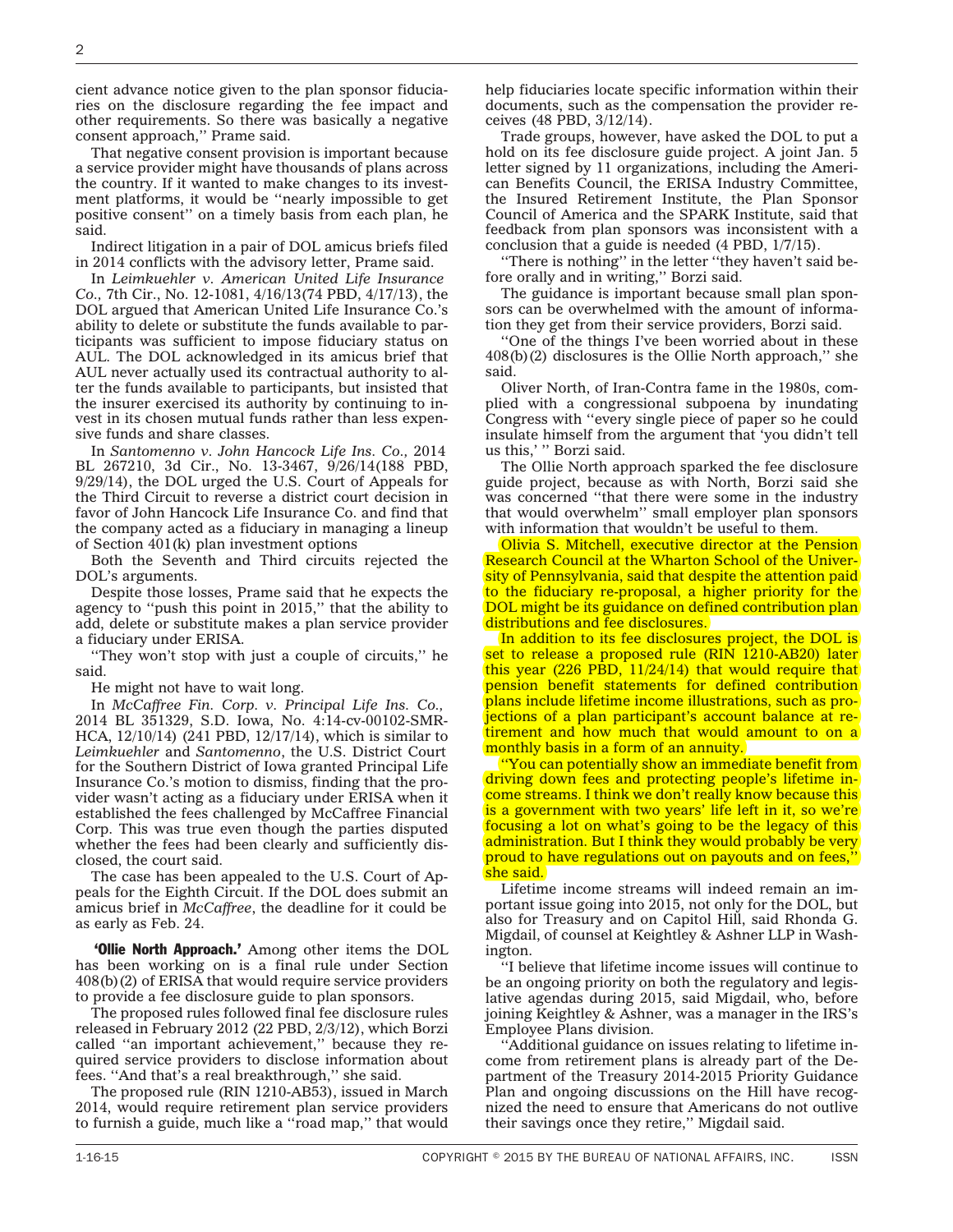cient advance notice given to the plan sponsor fiduciaries on the disclosure regarding the fee impact and other requirements. So there was basically a negative consent approach,'' Prame said.

That negative consent provision is important because a service provider might have thousands of plans across the country. If it wanted to make changes to its investment platforms, it would be ''nearly impossible to get positive consent'' on a timely basis from each plan, he said.

Indirect litigation in a pair of DOL amicus briefs filed in 2014 conflicts with the advisory letter, Prame said.

In *Leimkuehler v. American United Life Insurance Co.,* 7th Cir., No. 12-1081, 4/16/13(74 PBD, 4/17/13), the DOL argued that American United Life Insurance Co.'s ability to delete or substitute the funds available to participants was sufficient to impose fiduciary status on AUL. The DOL acknowledged in its amicus brief that AUL never actually used its contractual authority to alter the funds available to participants, but insisted that the insurer exercised its authority by continuing to invest in its chosen mutual funds rather than less expensive funds and share classes.

In *Santomenno v. John Hancock Life Ins. Co.,* 2014 BL 267210, 3d Cir., No. 13-3467, 9/26/14(188 PBD, 9/29/14), the DOL urged the U.S. Court of Appeals for the Third Circuit to reverse a district court decision in favor of John Hancock Life Insurance Co. and find that the company acted as a fiduciary in managing a lineup of Section 401(k) plan investment options

Both the Seventh and Third circuits rejected the DOL's arguments.

Despite those losses, Prame said that he expects the agency to ''push this point in 2015,'' that the ability to add, delete or substitute makes a plan service provider a fiduciary under ERISA.

''They won't stop with just a couple of circuits,'' he said.

He might not have to wait long.

In *McCaffree Fin. Corp. v. Principal Life Ins. Co.,* 2014 BL 351329, S.D. Iowa, No. 4:14-cv-00102-SMR-HCA, 12/10/14) (241 PBD, 12/17/14), which is similar to *Leimkuehler* and *Santomenno*, the U.S. District Court for the Southern District of Iowa granted Principal Life Insurance Co.'s [motion to dismiss,](http://www.bloomberglaw.com/public/document/McCaffree_Financial_Corp_v_Principal_Life_Insurance_Company_Docke/2) finding that the provider wasn't acting as a fiduciary under ERISA when it established the fees challenged by McCaffree Financial Corp. This was true even though the parties disputed whether the fees had been clearly and sufficiently disclosed, the court said.

The case has been appealed to the U.S. Court of Appeals for the Eighth Circuit. If the DOL does submit an amicus brief in *McCaffree*, the deadline for it could be as early as Feb. 24.

**'Ollie North Approach.'** Among other items the DOL has been working on is a final rule under Section 408(b)(2) of ERISA that would require service providers to provide a fee disclosure guide to plan sponsors.

The proposed rules followed final fee disclosure rules released in February 2012 (22 PBD, 2/3/12), which Borzi called ''an important achievement,'' because they required service providers to disclose information about fees. ''And that's a real breakthrough,'' she said.

The proposed rule (RIN 1210-AB53), issued in March 2014, would require retirement plan service providers to furnish a guide, much like a ''road map,'' that would help fiduciaries locate specific information within their documents, such as the compensation the provider receives (48 PBD, 3/12/14).

Trade groups, however, have asked the DOL to put a hold on its fee disclosure guide project. A joint Jan. 5 letter signed by 11 organizations, including the American Benefits Council, the ERISA Industry Committee, the Insured Retirement Institute, the Plan Sponsor Council of America and the SPARK Institute, said that feedback from plan sponsors was inconsistent with a conclusion that a guide is needed (4 PBD, 1/7/15).

''There is nothing'' in the letter ''they haven't said before orally and in writing,'' Borzi said.

The guidance is important because small plan sponsors can be overwhelmed with the amount of information they get from their service providers, Borzi said.

''One of the things I've been worried about in these 408(b)(2) disclosures is the Ollie North approach,'' she said.

Oliver North, of Iran-Contra fame in the 1980s, complied with a congressional subpoena by inundating Congress with ''every single piece of paper so he could insulate himself from the argument that 'you didn't tell us this,' '' Borzi said.

The Ollie North approach sparked the fee disclosure guide project, because as with North, Borzi said she was concerned ''that there were some in the industry that would overwhelm'' small employer plan sponsors with information that wouldn't be useful to them.

Olivia S. Mitchell, executive director at the Pension Research Council at the Wharton School of the University of Pennsylvania, said that despite the attention paid to the fiduciary re-proposal, a higher priority for the DOL might be its guidance on defined contribution plan distributions and fee disclosures.

In addition to its fee disclosures project, the DOL is set to release a proposed rule (RIN 1210-AB20) later this year  $(226 \overline{PBD}, 11/24/14)$  that would require that pension benefit statements for defined contribution plans include lifetime income illustrations, such as projections of a plan participant's account balance at retirement and how much that would amount to on a monthly basis in a form of an annuity.

''You can potentially show an immediate benefit from driving down fees and protecting people's lifetime income streams. I think we don't really know because this is a government with two years' life left in it, so we're focusing a lot on what's going to be the legacy of this administration. But I think they would probably be very proud to have regulations out on payouts and on fees,'' she said.

Lifetime income streams will indeed remain an important issue going into 2015, not only for the DOL, but also for Treasury and on Capitol Hill, said Rhonda G. Migdail, of counsel at Keightley & Ashner LLP in Washington.

''I believe that lifetime income issues will continue to be an ongoing priority on both the regulatory and legislative agendas during 2015, said Migdail, who, before joining Keightley & Ashner, was a manager in the IRS's Employee Plans division.

''Additional guidance on issues relating to lifetime income from retirement plans is already part of the Department of the Treasury 2014-2015 Priority Guidance Plan and ongoing discussions on the Hill have recognized the need to ensure that Americans do not outlive their savings once they retire,'' Migdail said.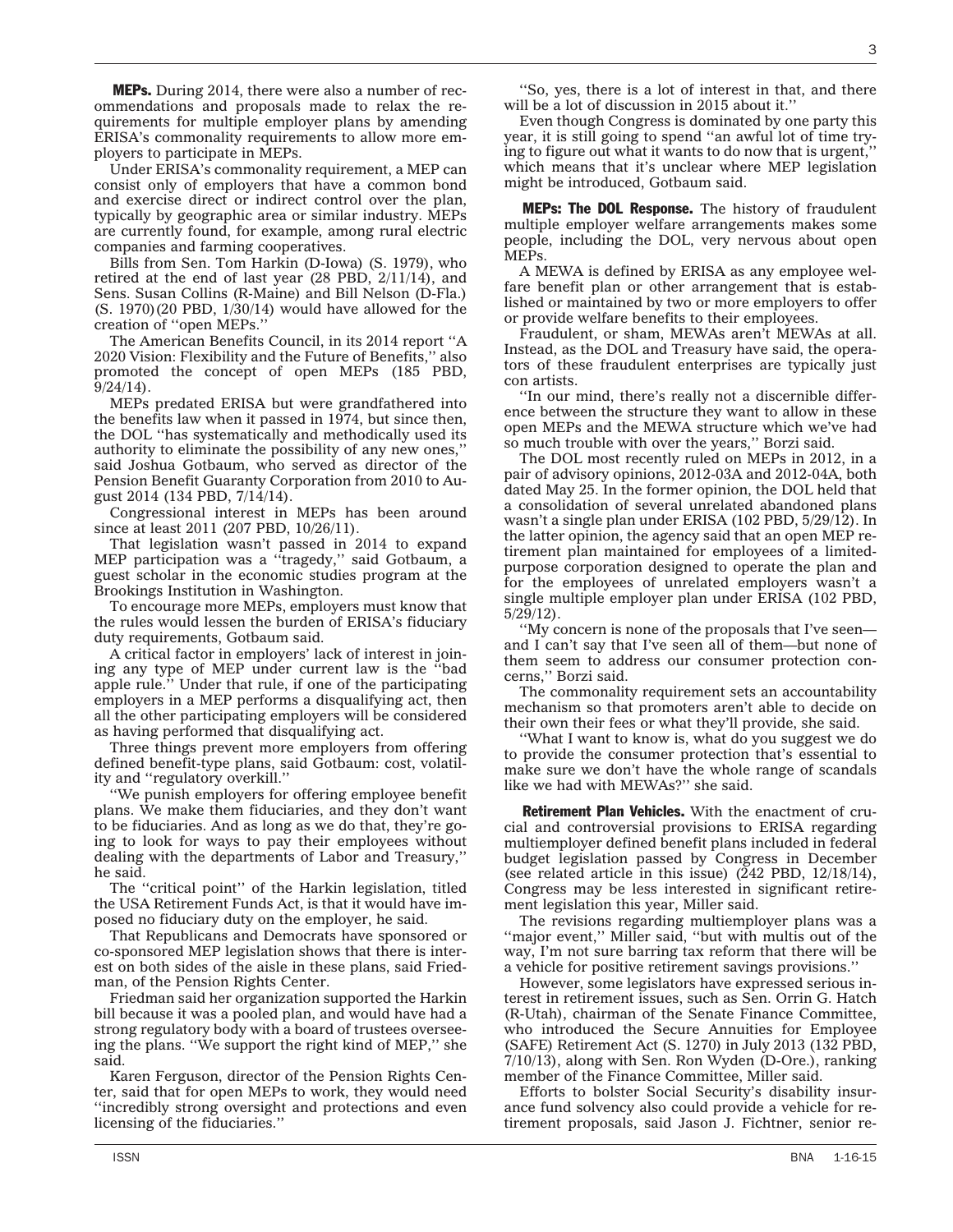Under ERISA's commonality requirement, a MEP can consist only of employers that have a common bond and exercise direct or indirect control over the plan, typically by geographic area or similar industry. MEPs are currently found, for example, among rural electric companies and farming cooperatives.

ployers to participate in MEPs.

**MEPs.** During 2014, there were also a number of recommendations and proposals made to relax the requirements for multiple employer plans by amending ERISA's commonality requirements to allow more em-

Bills from Sen. Tom Harkin (D-Iowa) (S. 1979), who retired at the end of last year (28 PBD, 2/11/14), and Sens. Susan Collins (R-Maine) and Bill Nelson (D-Fla.) (S. 1970)(20 PBD, 1/30/14) would have allowed for the creation of ''open MEPs.''

The American Benefits Council, in its 2014 report ''A 2020 Vision: Flexibility and the Future of Benefits,'' also promoted the concept of open MEPs (185 PBD, 9/24/14).

MEPs predated ERISA but were grandfathered into the benefits law when it passed in 1974, but since then, the DOL ''has systematically and methodically used its authority to eliminate the possibility of any new ones,'' said Joshua Gotbaum, who served as director of the Pension Benefit Guaranty Corporation from 2010 to August 2014 (134 PBD, 7/14/14).

Congressional interest in MEPs has been around since at least 2011 (207 PBD, 10/26/11).

That legislation wasn't passed in 2014 to expand MEP participation was a ''tragedy,'' said Gotbaum, a guest scholar in the economic studies program at the Brookings Institution in Washington.

To encourage more MEPs, employers must know that the rules would lessen the burden of ERISA's fiduciary duty requirements, Gotbaum said.

A critical factor in employers' lack of interest in joining any type of MEP under current law is the ''bad apple rule.'' Under that rule, if one of the participating employers in a MEP performs a disqualifying act, then all the other participating employers will be considered as having performed that disqualifying act.

Three things prevent more employers from offering defined benefit-type plans, said Gotbaum: cost, volatility and ''regulatory overkill.''

''We punish employers for offering employee benefit plans. We make them fiduciaries, and they don't want to be fiduciaries. And as long as we do that, they're going to look for ways to pay their employees without dealing with the departments of Labor and Treasury,'' he said.

The ''critical point'' of the Harkin legislation, titled the USA Retirement Funds Act, is that it would have imposed no fiduciary duty on the employer, he said.

That Republicans and Democrats have sponsored or co-sponsored MEP legislation shows that there is interest on both sides of the aisle in these plans, said Friedman, of the Pension Rights Center.

Friedman said her organization supported the Harkin bill because it was a pooled plan, and would have had a strong regulatory body with a board of trustees overseeing the plans. ''We support the right kind of MEP,'' she said.

Karen Ferguson, director of the Pension Rights Center, said that for open MEPs to work, they would need ''incredibly strong oversight and protections and even licensing of the fiduciaries.''

''So, yes, there is a lot of interest in that, and there will be a lot of discussion in 2015 about it.''

Even though Congress is dominated by one party this year, it is still going to spend ''an awful lot of time trying to figure out what it wants to do now that is urgent,'' which means that it's unclear where MEP legislation might be introduced, Gotbaum said.

**MEPs: The DOL Response.** The history of fraudulent multiple employer welfare arrangements makes some people, including the DOL, very nervous about open MEPs.

A MEWA is defined by ERISA as any employee welfare benefit plan or other arrangement that is established or maintained by two or more employers to offer or provide welfare benefits to their employees.

Fraudulent, or sham, MEWAs aren't MEWAs at all. Instead, as the DOL and Treasury have said, the operators of these fraudulent enterprises are typically just con artists.

''In our mind, there's really not a discernible difference between the structure they want to allow in these open MEPs and the MEWA structure which we've had so much trouble with over the years,'' Borzi said.

The DOL most recently ruled on MEPs in 2012, in a pair of advisory opinions, 2012-03A and 2012-04A, both dated May 25. In the former opinion, the DOL held that a consolidation of several unrelated abandoned plans wasn't a single plan under ERISA (102 PBD, 5/29/12). In the latter opinion, the agency said that an open MEP retirement plan maintained for employees of a limitedpurpose corporation designed to operate the plan and for the employees of unrelated employers wasn't a single multiple employer plan under ERISA (102 PBD, 5/29/12).

''My concern is none of the proposals that I've seen and I can't say that I've seen all of them—but none of them seem to address our consumer protection concerns,'' Borzi said.

The commonality requirement sets an accountability mechanism so that promoters aren't able to decide on their own their fees or what they'll provide, she said.

''What I want to know is, what do you suggest we do to provide the consumer protection that's essential to make sure we don't have the whole range of scandals like we had with MEWAs?'' she said.

**Retirement Plan Vehicles.** With the enactment of crucial and controversial provisions to ERISA regarding multiemployer defined benefit plans included in federal budget legislation passed by Congress in December (see related article in this issue) (242 PBD, 12/18/14), Congress may be less interested in significant retirement legislation this year, Miller said.

The revisions regarding multiemployer plans was a "major event," Miller said, "but with multis out of the way, I'm not sure barring tax reform that there will be a vehicle for positive retirement savings provisions.''

However, some legislators have expressed serious interest in retirement issues, such as Sen. Orrin G. Hatch (R-Utah), chairman of the Senate Finance Committee, who introduced the Secure Annuities for Employee (SAFE) Retirement Act (S. 1270) in July 2013 (132 PBD, 7/10/13), along with Sen. Ron Wyden (D-Ore.), ranking member of the Finance Committee, Miller said.

Efforts to bolster Social Security's disability insurance fund solvency also could provide a vehicle for retirement proposals, said Jason J. Fichtner, senior re